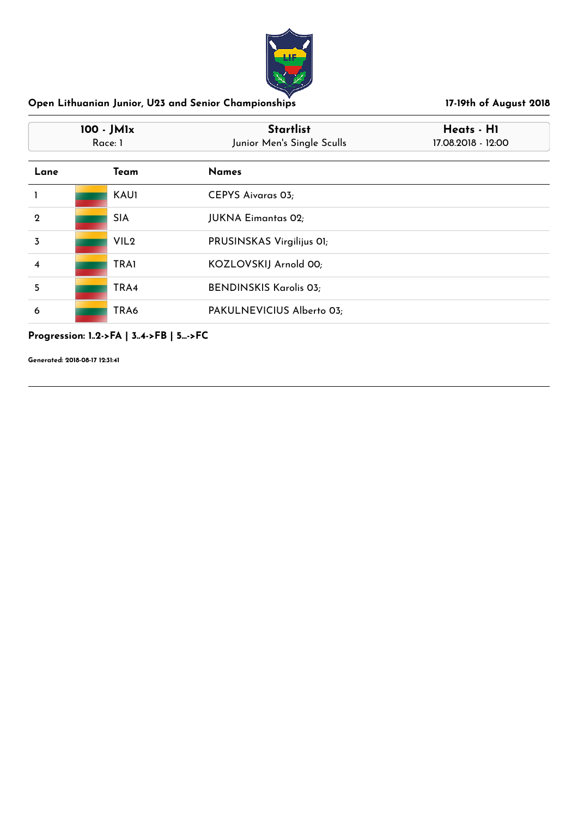

| 100 - JM1x<br>Race: 1 |                  | <b>Startlist</b><br>Junior Men's Single Sculls | Heats - H1<br>17.08.2018 - 12:00 |  |
|-----------------------|------------------|------------------------------------------------|----------------------------------|--|
| Lane                  | Team             | <b>Names</b>                                   |                                  |  |
|                       | <b>KAU1</b>      | <b>CEPYS Aivaras 03;</b>                       |                                  |  |
| $\mathbf 2$           | <b>SIA</b>       | <b>JUKNA Eimantas 02;</b>                      |                                  |  |
| 3                     | VIL <sub>2</sub> | PRUSINSKAS Virgilijus OI;                      |                                  |  |
| 4                     | <b>TRAI</b>      | KOZLOVSKIJ Arnold 00;                          |                                  |  |
| 5                     | TRA4             | <b>BENDINSKIS Karolis 03;</b>                  |                                  |  |
| 6                     | TRA6             | PAKULNEVICIUS Alberto 03;                      |                                  |  |

### **Progression: 1..2->FA | 3..4->FB | 5...->FC**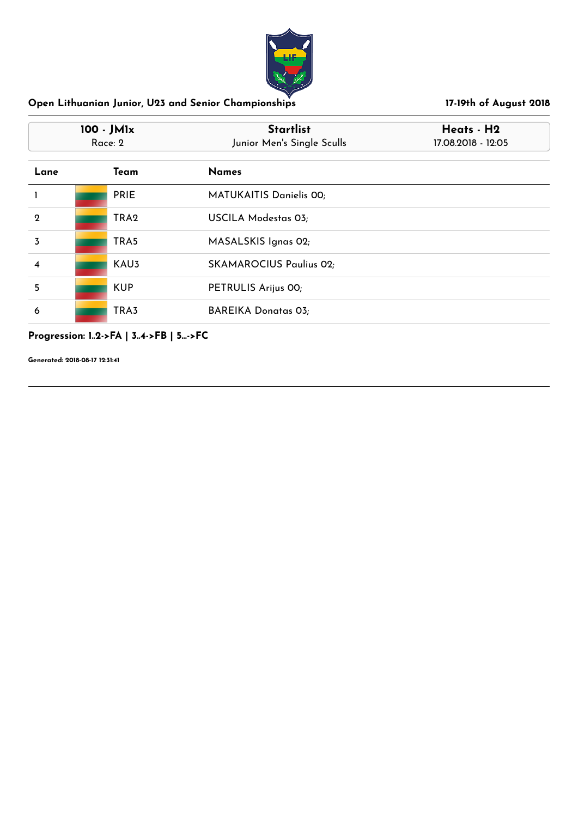

| 100 - JM1x<br>Race: 2 |                  | <b>Startlist</b><br>Junior Men's Single Sculls | Heats - H2<br>17.08.2018 - 12:05 |  |
|-----------------------|------------------|------------------------------------------------|----------------------------------|--|
| Lane                  | Team             | <b>Names</b>                                   |                                  |  |
|                       | <b>PRIE</b>      | <b>MATUKAITIS Danielis 00;</b>                 |                                  |  |
| $\mathbf 2$           | TRA <sub>2</sub> | <b>USCILA Modestas 03;</b>                     |                                  |  |
| 3                     | TRA5             | MASALSKIS Ignas 02;                            |                                  |  |
| 4                     | KAU <sub>3</sub> | <b>SKAMAROCIUS Paulius 02;</b>                 |                                  |  |
| 5                     | <b>KUP</b>       | PETRULIS Arijus 00;                            |                                  |  |
| 6                     | TRA3             | <b>BAREIKA Donatas 03;</b>                     |                                  |  |

### **Progression: 1..2->FA | 3..4->FB | 5...->FC**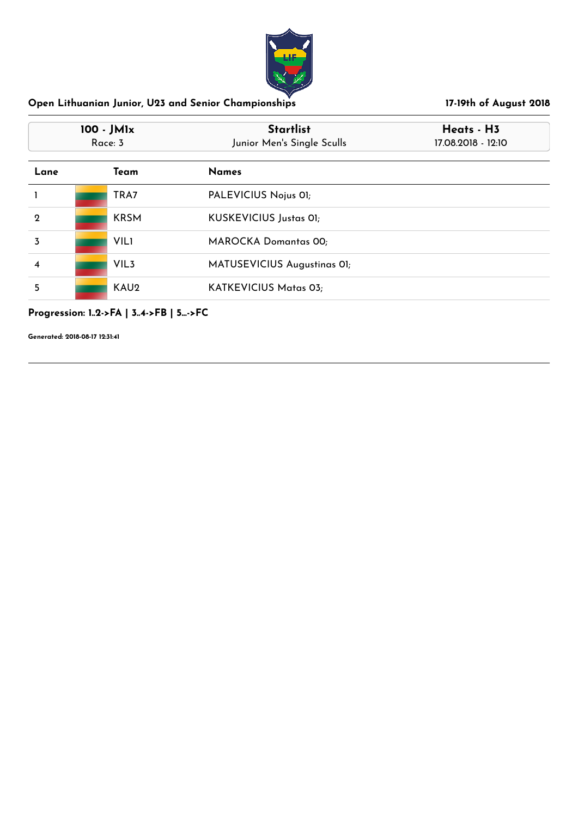

| 100 - JM1x<br>Race: 3 |                  | <b>Startlist</b><br>Junior Men's Single Sculls | Heats - H3<br>17.08.2018 - 12:10 |
|-----------------------|------------------|------------------------------------------------|----------------------------------|
| Lane                  | Team             | <b>Names</b>                                   |                                  |
|                       | TRA7             | PALEVICIUS Nojus 01;                           |                                  |
| $\mathbf 2$           | <b>KRSM</b>      | KUSKEVICIUS Justas 01;                         |                                  |
| 3                     | <b>VIL1</b>      | <b>MAROCKA Domantas 00;</b>                    |                                  |
| 4                     | VIL <sub>3</sub> | MATUSEVICIUS Augustinas OI;                    |                                  |
| 5                     | KAU <sub>2</sub> | <b>KATKEVICIUS Matas 03;</b>                   |                                  |

# **Progression: 1..2->FA | 3..4->FB | 5...->FC**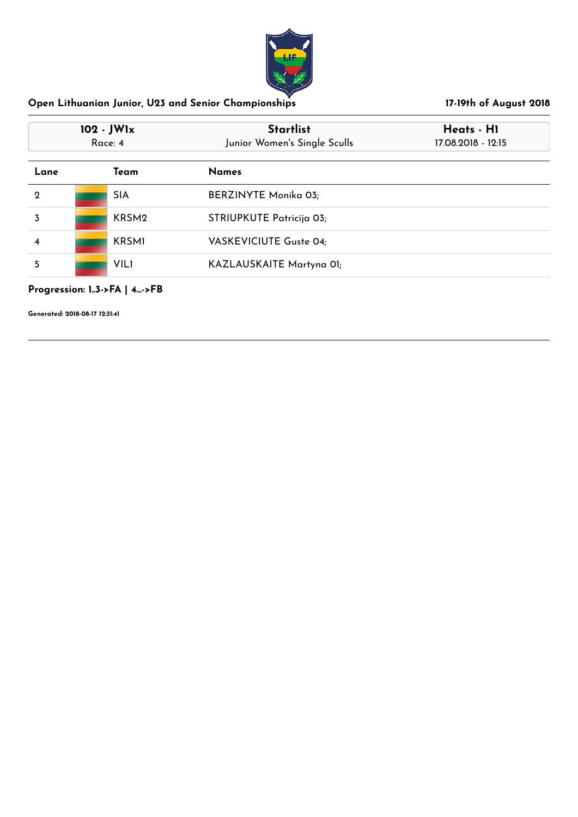

| 102 - JW1x<br>Race: 4 |  |                   | <b>Startlist</b><br>Junior Women's Single Sculls | Heats - H1<br>17.08.2018 - 12:15 |
|-----------------------|--|-------------------|--------------------------------------------------|----------------------------------|
| Lane                  |  | Team              | <b>Names</b>                                     |                                  |
| $\mathbf 2$           |  | <b>SIA</b>        | <b>BERZINYTE Monika 03;</b>                      |                                  |
| 3                     |  | KRSM <sub>2</sub> | STRIUPKUTE Patricija 03;                         |                                  |
| 4                     |  | <b>KRSMI</b>      | VASKEVICIUTE Guste 04;                           |                                  |
| 5                     |  | <b>VILI</b>       | KAZLAUSKAITE Martyna 01;                         |                                  |

### **Progression: 1..3->FA | 4...->FB**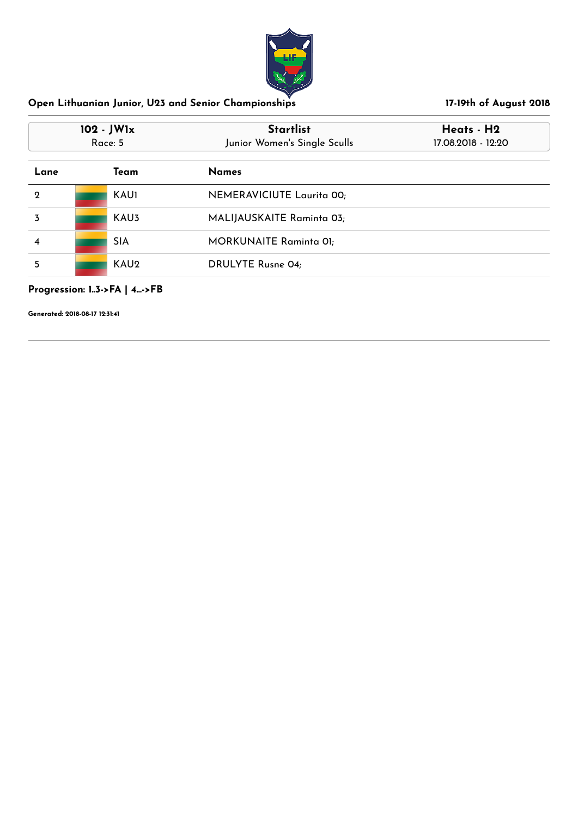

| 102 - JW1x<br>Race: 5 |             | <b>Startlist</b><br>Junior Women's Single Sculls | Heats - H2<br>17.08.2018 - 12:20 |  |
|-----------------------|-------------|--------------------------------------------------|----------------------------------|--|
| Lane                  | Team        | <b>Names</b>                                     |                                  |  |
| $\mathbf 2$           | <b>KAU1</b> | NEMERAVICIUTE Laurita 00;                        |                                  |  |
| 3                     | KAU3        | MALIJAUSKAITE Raminta 03;                        |                                  |  |
| 4                     | <b>SIA</b>  | <b>MORKUNAITE Raminta 01;</b>                    |                                  |  |
| 5                     | KAU2        | <b>DRULYTE Rusne 04;</b>                         |                                  |  |

### **Progression: 1..3->FA | 4...->FB**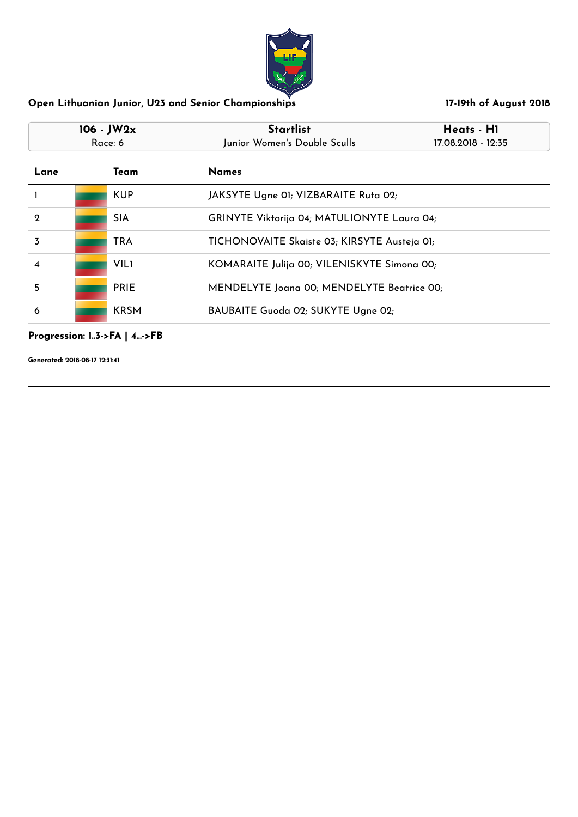

|              | $106 - JW2x$<br>Race: 6 | <b>Startlist</b><br>Junior Women's Double Sculls | Heats - H1<br>17.08.2018 - 12:35             |  |
|--------------|-------------------------|--------------------------------------------------|----------------------------------------------|--|
| Lane<br>Team |                         | <b>Names</b>                                     |                                              |  |
|              | <b>KUP</b>              | JAKSYTE Ugne 01; VIZBARAITE Ruta 02;             |                                              |  |
| $\mathbf 2$  | <b>SIA</b>              |                                                  | GRINYTE Viktorija 04; MATULIONYTE Laura 04;  |  |
| 3            | <b>TRA</b>              |                                                  | TICHONOVAITE Skaiste 03; KIRSYTE Austeja 01; |  |
| 4            | <b>VILI</b>             |                                                  | KOMARAITE Julija 00; VILENISKYTE Simona 00;  |  |
| 5            | <b>PRIE</b>             |                                                  | MENDELYTE Joana 00; MENDELYTE Beatrice 00;   |  |
| 6            | <b>KRSM</b>             |                                                  | BAUBAITE Guoda 02; SUKYTE Ugne 02;           |  |

**Progression: 1..3->FA | 4...->FB**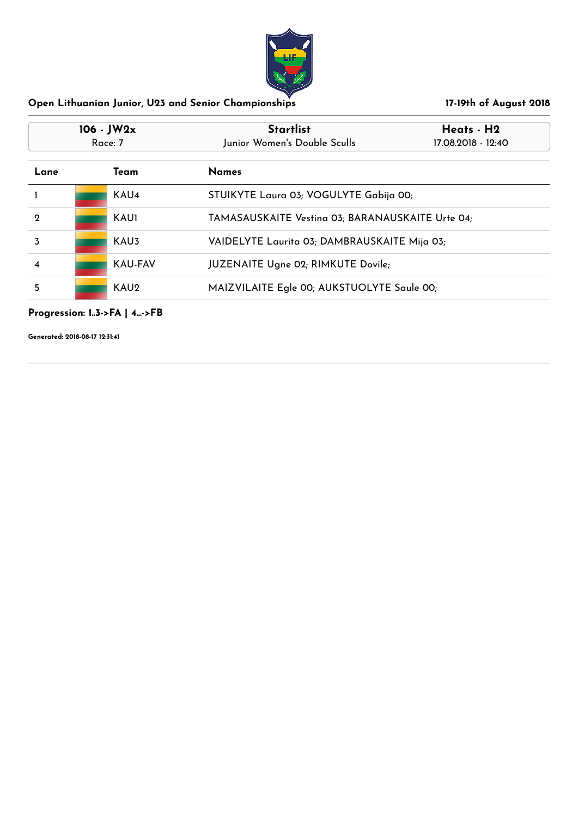

| $106 - JW2x$<br>Race: 7<br>Lane<br>Team |  |                  | <b>Startlist</b><br>Junior Women's Double Sculls | Heats - H2<br>17.08.2018 - 12:40 |  |
|-----------------------------------------|--|------------------|--------------------------------------------------|----------------------------------|--|
|                                         |  |                  | <b>Names</b>                                     |                                  |  |
|                                         |  | KAU <sub>4</sub> | STUIKYTE Laura 03; VOGULYTE Gabija 00;           |                                  |  |
| $\mathbf 2$                             |  | KAU1             | TAMASAUSKAITE Vestina 03; BARANAUSKAITE Urte 04; |                                  |  |
| 3                                       |  | KAU3             | VAIDELYTE Laurita 03; DAMBRAUSKAITE Mija 03;     |                                  |  |
| 4                                       |  | KAU-FAV          | <b>JUZENAITE Ugne 02; RIMKUTE Dovile;</b>        |                                  |  |
| 5                                       |  | KAU <sub>2</sub> | MAIZVILAITE Egle 00; AUKSTUOLYTE Saule 00;       |                                  |  |

## **Progression: 1..3->FA | 4...->FB**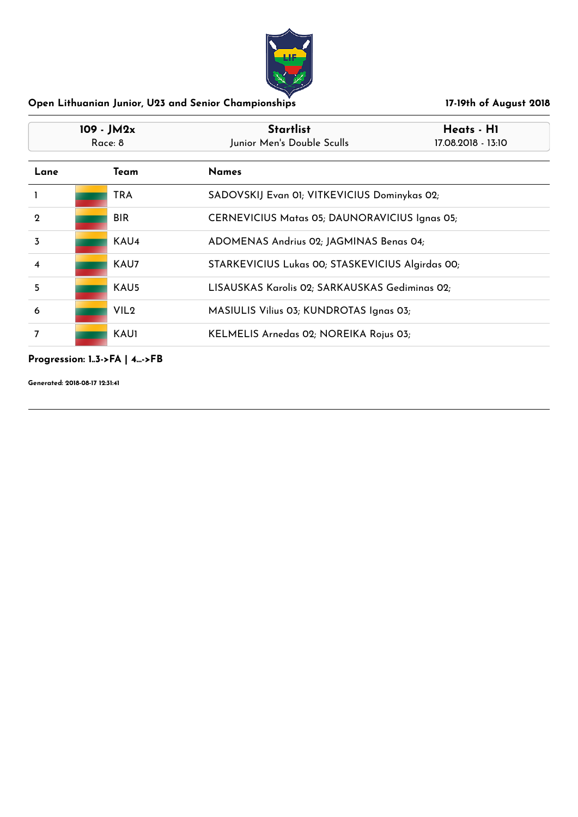

| $109 - JM2x$<br>Race: 8 |  |                  | <b>Startlist</b><br>Heats - H1<br>Junior Men's Double Sculls<br>17.08.2018 - 13:10 |  |
|-------------------------|--|------------------|------------------------------------------------------------------------------------|--|
| Lane                    |  | Team             | <b>Names</b>                                                                       |  |
|                         |  | TRA              | SADOVSKIJ Evan 01; VITKEVICIUS Dominykas 02;                                       |  |
| $\mathbf 2$             |  | <b>BIR</b>       | <b>CERNEVICIUS Matas 05; DAUNORAVICIUS Ignas 05;</b>                               |  |
| 3                       |  | KAU4             | ADOMENAS Andrius 02; JAGMINAS Benas 04;                                            |  |
| 4                       |  | KAU7             | STARKEVICIUS Lukas 00; STASKEVICIUS Algirdas 00;                                   |  |
| 5                       |  | KAU5             | LISAUSKAS Karolis 02; SARKAUSKAS Gediminas 02;                                     |  |
| 6                       |  | VIL <sub>2</sub> | MASIULIS Vilius 03; KUNDROTAS Ignas 03;                                            |  |
| 7                       |  | <b>KAU1</b>      | KELMELIS Arnedas 02; NOREIKA Rojus 03;                                             |  |

### **Progression: 1..3->FA | 4...->FB**